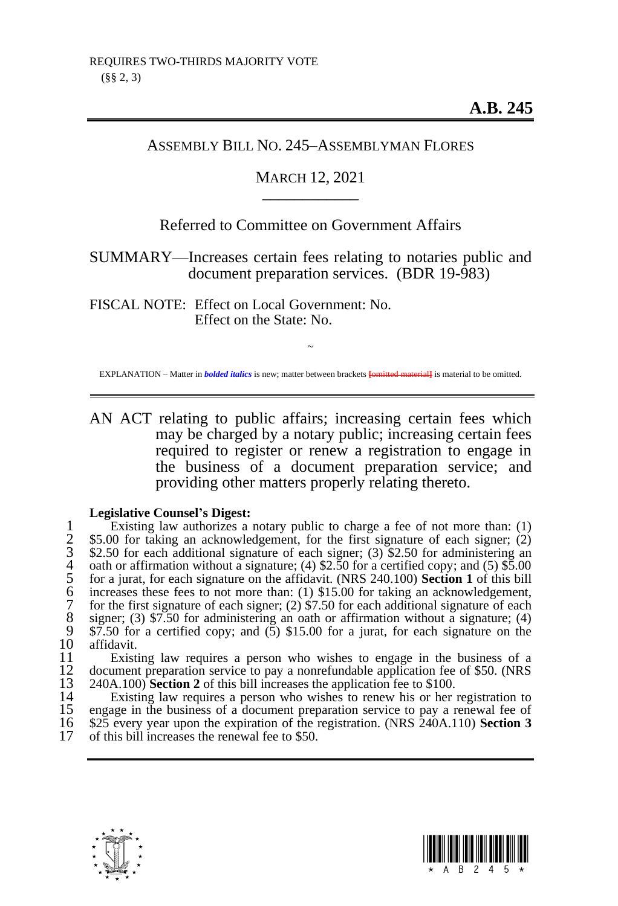# ASSEMBLY BILL NO. 245–ASSEMBLYMAN FLORES

# MARCH 12, 2021 \_\_\_\_\_\_\_\_\_\_\_\_

# Referred to Committee on Government Affairs

SUMMARY—Increases certain fees relating to notaries public and document preparation services. (BDR 19-983)

FISCAL NOTE: Effect on Local Government: No. Effect on the State: No.

~ EXPLANATION – Matter in *bolded italics* is new; matter between brackets **[**omitted material**]** is material to be omitted.

AN ACT relating to public affairs; increasing certain fees which may be charged by a notary public; increasing certain fees required to register or renew a registration to engage in the business of a document preparation service; and providing other matters properly relating thereto.

#### **Legislative Counsel's Digest:**

1 Existing law authorizes a notary public to charge a fee of not more than: (1)<br>
\$5.00 for taking an acknowledgement, for the first signature of each signer; (2)<br>
\$2.50 for each additional signature of each signer; (3) \$2 \$5.00 for taking an acknowledgement, for the first signature of each signer; (2) \$2.50 for each additional signature of each signer;  $(3)$  \$2.50 for administering an oath or affirmation without a signature; (4)  $$2.50$  for a certified copy; and (5)  $$5.00$ 5 for a jurat, for each signature on the affidavit. (NRS 240.100) **Section 1** of this bill increases these fees to not more than: (1) \$15.00 for taking an acknowledgement, for the first signature of each signer; (2)  $\frac{6}{7.50}$  for each additional signature of each 8 signer; (3) \$7.50 for administering an oath or affirmation without a signature; (4)  $\overline{\phantom{3}87.50}$  for a certified conv: and (5) \$15.00 for a jurat, for each signature on the 9 \$7.50 for a certified copy; and  $(5)$  \$15.00 for a jurat, for each signature on the 10 affidavit. 10 affidavit.<br>11 Existi

11 Existing law requires a person who wishes to engage in the business of a<br>12 document preparation service to pay a nonrefundable application fee of \$50. (NRS) 12 document preparation service to pay a nonrefundable application fee of \$50. (NRS<br>13 240A.100) **Section 2** of this bill increases the application fee to \$100. 13 240A.100) **Section 2** of this bill increases the application fee to \$100.<br>14 Existing law requires a person who wishes to renew his or her

14 Existing law requires a person who wishes to renew his or her registration to 15 engage in the business of a document preparation service to pay a renewal fee of 15 engage in the business of a document preparation service to pay a renewal fee of 16 \$25 every vear upon the expiration of the registration. (NRS 240A.110) Section 3 16 \$25 every year upon the expiration of the registration. (NRS 240A.110) **Section 3** of this bill increases the renewal fee to \$50.



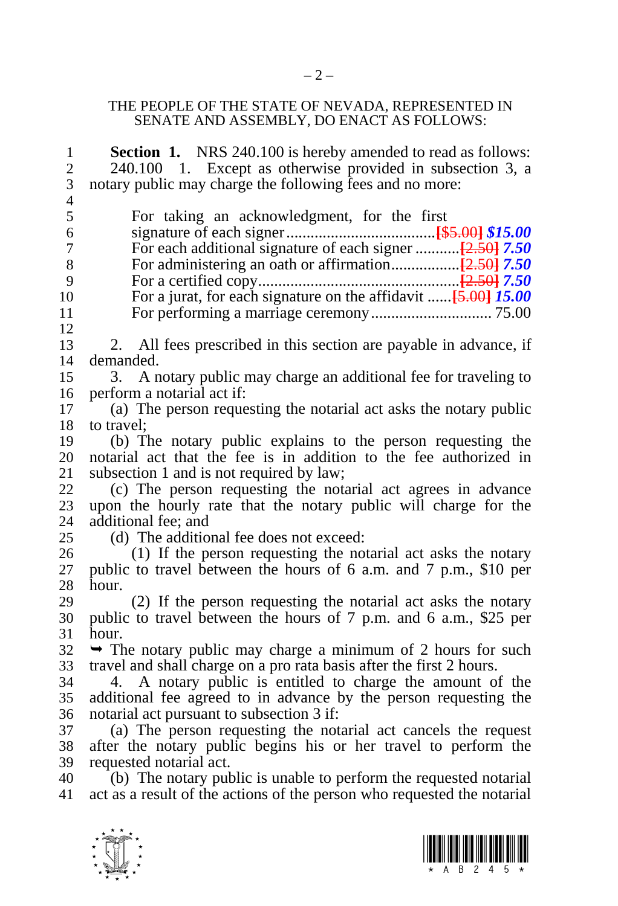### THE PEOPLE OF THE STATE OF NEVADA, REPRESENTED IN SENATE AND ASSEMBLY, DO ENACT AS FOLLOWS:

| $\mathbf{1}$     | <b>Section 1.</b> NRS 240.100 is hereby amended to read as follows:      |
|------------------|--------------------------------------------------------------------------|
| $\overline{c}$   | 240.100 1. Except as otherwise provided in subsection 3, a               |
| 3                | notary public may charge the following fees and no more:                 |
| $\overline{4}$   |                                                                          |
| 5                | For taking an acknowledgment, for the first                              |
| 6                |                                                                          |
| $\boldsymbol{7}$ |                                                                          |
| 8                |                                                                          |
| 9                |                                                                          |
| 10               | For a jurat, for each signature on the affidavit $[5.00]$ 15.00          |
| 11               |                                                                          |
| 12               |                                                                          |
| 13               | 2. All fees prescribed in this section are payable in advance, if        |
| 14               | demanded.                                                                |
| 15               | A notary public may charge an additional fee for traveling to<br>3.      |
| 16               | perform a notarial act if:                                               |
| 17               | (a) The person requesting the notarial act asks the notary public        |
| 18               | to travel;                                                               |
| 19               | (b) The notary public explains to the person requesting the              |
| 20               | notarial act that the fee is in addition to the fee authorized in        |
| 21               | subsection 1 and is not required by law;                                 |
| 22               | (c) The person requesting the notarial act agrees in advance             |
| 23               | upon the hourly rate that the notary public will charge for the          |
| 24               | additional fee; and                                                      |
| 25               | (d) The additional fee does not exceed:                                  |
| 26               | (1) If the person requesting the notarial act asks the notary            |
| 27               | public to travel between the hours of 6 a.m. and 7 p.m., \$10 per        |
| 28               | hour.                                                                    |
| 29               | (2) If the person requesting the notarial act asks the notary            |
| 30               | public to travel between the hours of 7 p.m. and 6 a.m., \$25 per        |
| 31               | hour.                                                                    |
| 32               | $\rightarrow$ The notary public may charge a minimum of 2 hours for such |
| 33               | travel and shall charge on a pro rata basis after the first 2 hours.     |
| 34               | 4. A notary public is entitled to charge the amount of the               |
| 35               | additional fee agreed to in advance by the person requesting the         |
| 36               | notarial act pursuant to subsection 3 if:                                |
| 37               | (a) The person requesting the notarial act cancels the request           |
| 38               | after the notary public begins his or her travel to perform the          |
| 39               | requested notarial act.                                                  |
| 40               | (b) The notary public is unable to perform the requested notarial        |
| 41               | act as a result of the actions of the person who requested the notarial  |
|                  |                                                                          |



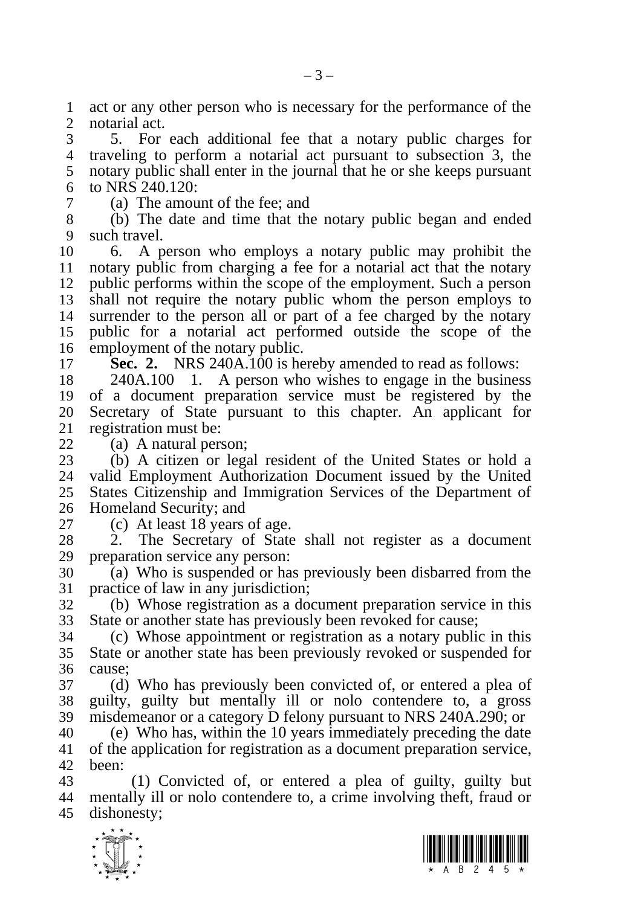act or any other person who is necessary for the performance of the notarial act.

 5. For each additional fee that a notary public charges for traveling to perform a notarial act pursuant to subsection 3, the notary public shall enter in the journal that he or she keeps pursuant to NRS 240.120:

(a) The amount of the fee; and

 (b) The date and time that the notary public began and ended such travel.

 6. A person who employs a notary public may prohibit the notary public from charging a fee for a notarial act that the notary public performs within the scope of the employment. Such a person shall not require the notary public whom the person employs to surrender to the person all or part of a fee charged by the notary public for a notarial act performed outside the scope of the employment of the notary public.

**Sec. 2.** NRS 240A.100 is hereby amended to read as follows:

 240A.100 1. A person who wishes to engage in the business of a document preparation service must be registered by the Secretary of State pursuant to this chapter. An applicant for registration must be:

(a) A natural person;

 (b) A citizen or legal resident of the United States or hold a valid Employment Authorization Document issued by the United States Citizenship and Immigration Services of the Department of Homeland Security; and

(c) At least 18 years of age.

 2. The Secretary of State shall not register as a document preparation service any person:

 (a) Who is suspended or has previously been disbarred from the practice of law in any jurisdiction;

 (b) Whose registration as a document preparation service in this State or another state has previously been revoked for cause;

 (c) Whose appointment or registration as a notary public in this State or another state has been previously revoked or suspended for cause;

 (d) Who has previously been convicted of, or entered a plea of guilty, guilty but mentally ill or nolo contendere to, a gross misdemeanor or a category D felony pursuant to NRS 240A.290; or

 (e) Who has, within the 10 years immediately preceding the date of the application for registration as a document preparation service, been:

 (1) Convicted of, or entered a plea of guilty, guilty but mentally ill or nolo contendere to, a crime involving theft, fraud or dishonesty;



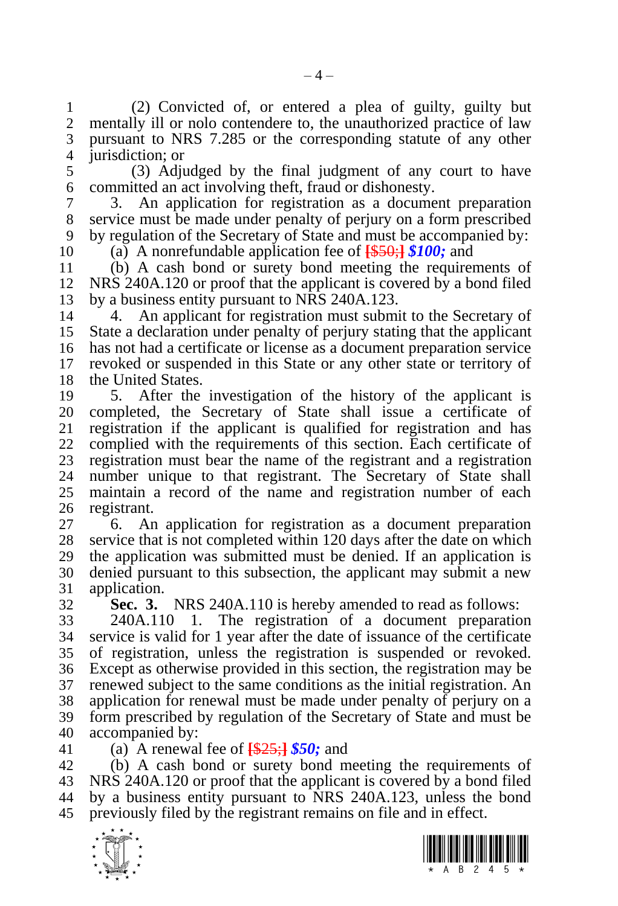(2) Convicted of, or entered a plea of guilty, guilty but mentally ill or nolo contendere to, the unauthorized practice of law pursuant to NRS 7.285 or the corresponding statute of any other jurisdiction; or

 (3) Adjudged by the final judgment of any court to have committed an act involving theft, fraud or dishonesty.

 3. An application for registration as a document preparation service must be made under penalty of perjury on a form prescribed by regulation of the Secretary of State and must be accompanied by:

(a) A nonrefundable application fee of **[**\$50;**]** *\$100;* and

 (b) A cash bond or surety bond meeting the requirements of NRS 240A.120 or proof that the applicant is covered by a bond filed by a business entity pursuant to NRS 240A.123.

 4. An applicant for registration must submit to the Secretary of State a declaration under penalty of perjury stating that the applicant has not had a certificate or license as a document preparation service revoked or suspended in this State or any other state or territory of the United States.

 5. After the investigation of the history of the applicant is completed, the Secretary of State shall issue a certificate of registration if the applicant is qualified for registration and has complied with the requirements of this section. Each certificate of 23 registration must bear the name of the registrant and a registration<br>24 number unique to that registrant. The Secretary of State shall number unique to that registrant. The Secretary of State shall maintain a record of the name and registration number of each registrant.

 6. An application for registration as a document preparation service that is not completed within 120 days after the date on which the application was submitted must be denied. If an application is denied pursuant to this subsection, the applicant may submit a new application.

**Sec. 3.** NRS 240A.110 is hereby amended to read as follows:

 240A.110 1. The registration of a document preparation service is valid for 1 year after the date of issuance of the certificate of registration, unless the registration is suspended or revoked. Except as otherwise provided in this section, the registration may be renewed subject to the same conditions as the initial registration. An application for renewal must be made under penalty of perjury on a form prescribed by regulation of the Secretary of State and must be accompanied by:

(a) A renewal fee of **[**\$25;**]** *\$50;* and

 (b) A cash bond or surety bond meeting the requirements of NRS 240A.120 or proof that the applicant is covered by a bond filed by a business entity pursuant to NRS 240A.123, unless the bond previously filed by the registrant remains on file and in effect.